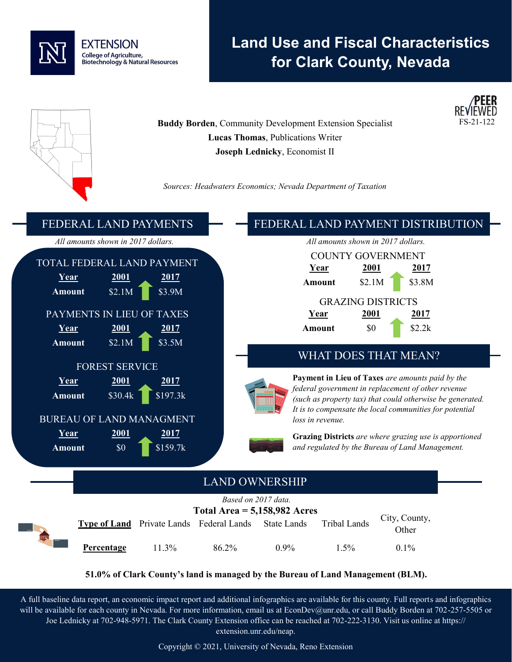

# **Land Use and Fiscal Characteristics for Clark County, Nevada**



**51.0% of Clark County's land is managed by the Bureau of Land Management (BLM).**

A full baseline data report, an economic impact report and additional infographics are available for this county. Full reports and infographics will be available for each county in Nevada. For more information, email us at EconDev@unr.edu, or call Buddy Borden at 702-257-5505 or Joe Lednicky at 702-948-5971. The Clark County Extension office can be reached at 702-222-3130. Visit us online at https:// extension.unr.edu/neap.

Copyright © 2021, University of Nevada, Reno Extension